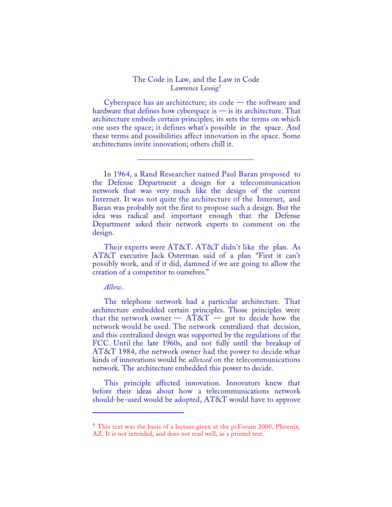## The Code in Law, and the Law in Code Lawrence Lessig†

Cyberspace has an architecture; its code — the software and hardware that defines how cyberspace is — is its architecture. That architecture embeds certain principles; its sets the terms on which one uses the space; it defines what's possible in the space. And these terms and possibilities affect innovation in the space. Some architectures invite innovation; others chill it.

In 1964, a Rand Researcher named Paul Baran proposed to the Defense Department a design for a telecommunication network that was very much like the design of the current Internet. It was not quite the architecture of the Internet, and Baran was probably not the first to propose such a design. But the idea was radical and important enough that the Defense Department asked their network experts to comment on the design.

Their experts were AT&T. AT&T didn't like the plan. As AT&T executive Jack Osterman said of a plan "First it can't possibly work, and if it did, damned if we are going to allow the creation of a competitor to ourselves."

*Allow*.

1

The telephone network had a particular architecture. That architecture embedded certain principles. Those principles were that the network owner  $- AT&T - got$  to decide how the network would be used. The network centralized that decision, and this centralized design was supported by the regulations of the FCC. Until the late 1960s, and not fully until the breakup of AT&T 1984, the network owner had the power to decide what kinds of innovations would be *allowed* on the telecommunications network. The architecture embedded this power to decide.

This principle affected innovation. Innovators knew that before their ideas about how a telecommunications network should-be-used would be adopted, AT&T would have to approve

<sup>†</sup> This text was the basis of a lecture given at the pcForum 2000, Phoenix, AZ. It is not intended, and does not read well, as a printed text.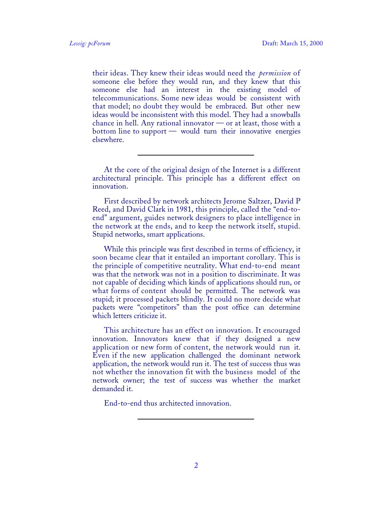their ideas. They knew their ideas would need the *permission* of someone else before they would run, and they knew that this someone else had an interest in the existing model of telecommunications. Some new ideas would be consistent with that model; no doubt they would be embraced. But other new ideas would be inconsistent with this model. They had a snowballs chance in hell. Any rational innovator  $\sim$  or at least, those with a bottom line to support — would turn their innovative energies elsewhere.

At the core of the original design of the Internet is a different architectural principle. This principle has a different effect on innovation.

First described by network architects Jerome Saltzer, David P Reed, and David Clark in 1981, this principle, called the "end-toend" argument, guides network designers to place intelligence in the network at the ends, and to keep the network itself, stupid. Stupid networks, smart applications.

While this principle was first described in terms of efficiency, it soon became clear that it entailed an important corollary. This is the principle of competitive neutrality. What end-to-end meant was that the network was not in a position to discriminate. It was not capable of deciding which kinds of applications should run, or what forms of content should be permitted. The network was stupid; it processed packets blindly. It could no more decide what packets were "competitors" than the post office can determine which letters criticize it.

This architecture has an effect on innovation. It encouraged innovation. Innovators knew that if they designed a new application or new form of content, the network would run it. Even if the new application challenged the dominant network application, the network would run it. The test of success thus was not whether the innovation fit with the business model of the network owner; the test of success was whether the market demanded it.

End-to-end thus architected innovation.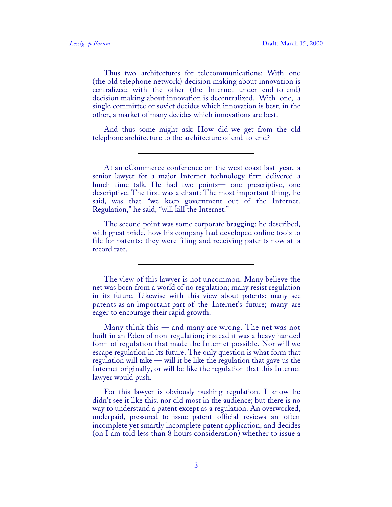Thus two architectures for telecommunications: With one (the old telephone network) decision making about innovation is centralized; with the other (the Internet under end-to-end) decision making about innovation is decentralized. With one, a single committee or soviet decides which innovation is best; in the other, a market of many decides which innovations are best.

And thus some might ask: How did we get from the old telephone architecture to the architecture of end-to-end?

At an eCommerce conference on the west coast last year, a senior lawyer for a major Internet technology firm delivered a lunch time talk. He had two points— one prescriptive, one descriptive. The first was a chant: The most important thing, he said, was that "we keep government out of the Internet. Regulation," he said, "will kill the Internet."

The second point was some corporate bragging: he described, with great pride, how his company had developed online tools to file for patents; they were filing and receiving patents now at a record rate.

The view of this lawyer is not uncommon. Many believe the net was born from a world of no regulation; many resist regulation in its future. Likewise with this view about patents: many see patents as an important part of the Internet's future; many are eager to encourage their rapid growth.

Many think this — and many are wrong. The net was not built in an Eden of non-regulation; instead it was a heavy handed form of regulation that made the Internet possible. Nor will we escape regulation in its future. The only question is what form that regulation will take — will it be like the regulation that gave us the Internet originally, or will be like the regulation that this Internet lawyer would push.

For this lawyer is obviously pushing regulation. I know he didn't see it like this; nor did most in the audience; but there is no way to understand a patent except as a regulation. An overworked, underpaid, pressured to issue patent official reviews an often incomplete yet smartly incomplete patent application, and decides (on I am told less than 8 hours consideration) whether to issue a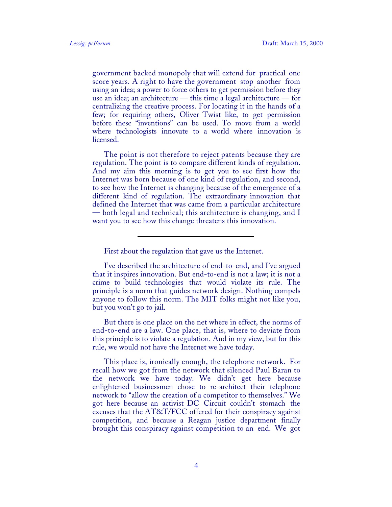government backed monopoly that will extend for practical one score years. A right to have the government stop another from using an idea; a power to force others to get permission before they use an idea; an architecture — this time a legal architecture — for centralizing the creative process. For locating it in the hands of a few; for requiring others, Oliver Twist like, to get permission before these "inventions" can be used. To move from a world where technologists innovate to a world where innovation is licensed.

The point is not therefore to reject patents because they are regulation. The point is to compare different kinds of regulation. And my aim this morning is to get you to see first how the Internet was born because of one kind of regulation, and second, to see how the Internet is changing because of the emergence of a different kind of regulation. The extraordinary innovation that defined the Internet that was came from a particular architecture — both legal and technical; this architecture is changing, and I want you to see how this change threatens this innovation.

First about the regulation that gave us the Internet.

I've described the architecture of end-to-end, and I've argued that it inspires innovation. But end-to-end is not a law; it is not a crime to build technologies that would violate its rule. The principle is a norm that guides network design. Nothing compels anyone to follow this norm. The MIT folks might not like you, but you won't go to jail.

But there is one place on the net where in effect, the norms of end-to-end are a law. One place, that is, where to deviate from this principle is to violate a regulation. And in my view, but for this rule, we would not have the Internet we have today.

This place is, ironically enough, the telephone network. For recall how we got from the network that silenced Paul Baran to the network we have today. We didn't get here because enlightened businessmen chose to re-architect their telephone network to "allow the creation of a competitor to themselves." We got here because an activist DC Circuit couldn't stomach the excuses that the AT&T/FCC offered for their conspiracy against competition, and because a Reagan justice department finally brought this conspiracy against competition to an end. We got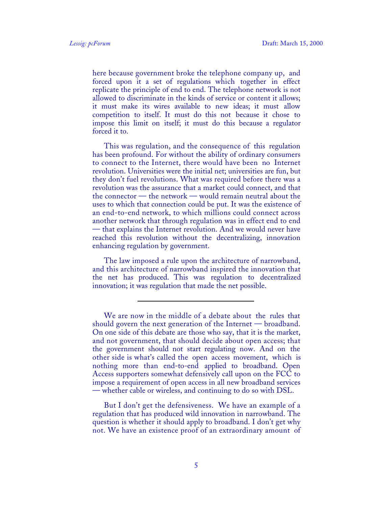here because government broke the telephone company up, and forced upon it a set of regulations which together in effect replicate the principle of end to end. The telephone network is not allowed to discriminate in the kinds of service or content it allows; it must make its wires available to new ideas; it must allow competition to itself. It must do this not because it chose to impose this limit on itself; it must do this because a regulator forced it to.

This was regulation, and the consequence of this regulation has been profound. For without the ability of ordinary consumers to connect to the Internet, there would have been no Internet revolution. Universities were the initial net; universities are fun, but they don't fuel revolutions. What was required before there was a revolution was the assurance that a market could connect, and that the connector — the network — would remain neutral about the uses to which that connection could be put. It was the existence of an end-to-end network, to which millions could connect across another network that through regulation was in effect end to end — that explains the Internet revolution. And we would never have reached this revolution without the decentralizing, innovation enhancing regulation by government.

The law imposed a rule upon the architecture of narrowband, and this architecture of narrowband inspired the innovation that the net has produced. This was regulation to decentralized innovation; it was regulation that made the net possible.

But I don't get the defensiveness. We have an example of a regulation that has produced wild innovation in narrowband. The question is whether it should apply to broadband. I don't get why not. We have an existence proof of an extraordinary amount of

We are now in the middle of a debate about the rules that should govern the next generation of the Internet — broadband. On one side of this debate are those who say, that it is the market, and not government, that should decide about open access; that the government should not start regulating now. And on the other side is what's called the open access movement, which is nothing more than end-to-end applied to broadband. Open Access supporters somewhat defensively call upon on the FCC to impose a requirement of open access in all new broadband services — whether cable or wireless, and continuing to do so with DSL.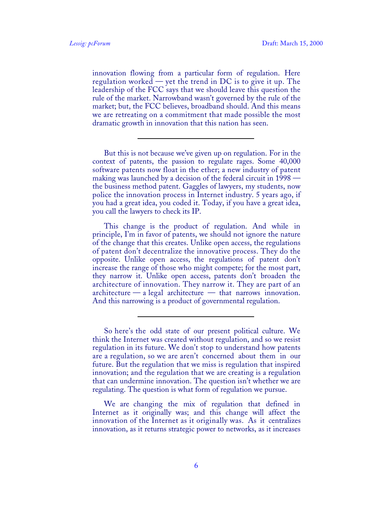innovation flowing from a particular form of regulation. Here regulation worked — yet the trend in DC is to give it up. The leadership of the FCC says that we should leave this question the rule of the market. Narrowband wasn't governed by the rule of the market; but, the FCC believes, broadband should. And this means we are retreating on a commitment that made possible the most dramatic growth in innovation that this nation has seen.

But this is not because we've given up on regulation. For in the context of patents, the passion to regulate rages. Some 40,000 software patents now float in the ether; a new industry of patent making was launched by a decision of the federal circuit in 1998 the business method patent. Gaggles of lawyers, my students, now police the innovation process in Internet industry. 5 years ago, if you had a great idea, you coded it. Today, if you have a great idea, you call the lawyers to check its IP.

This change is the product of regulation. And while in principle, I'm in favor of patents, we should not ignore the nature of the change that this creates. Unlike open access, the regulations of patent don't decentralize the innovative process. They do the opposite. Unlike open access, the regulations of patent don't increase the range of those who might compete; for the most part, they narrow it. Unlike open access, patents don't broaden the architecture of innovation. They narrow it. They are part of an architecture — a legal architecture — that narrows innovation. And this narrowing is a product of governmental regulation.

So here's the odd state of our present political culture. We think the Internet was created without regulation, and so we resist regulation in its future. We don't stop to understand how patents are a regulation, so we are aren't concerned about them in our future. But the regulation that we miss is regulation that inspired innovation; and the regulation that we are creating is a regulation that can undermine innovation. The question isn't whether we are regulating. The question is what form of regulation we pursue.

We are changing the mix of regulation that defined in Internet as it originally was; and this change will affect the innovation of the Internet as it originally was. As it centralizes innovation, as it returns strategic power to networks, as it increases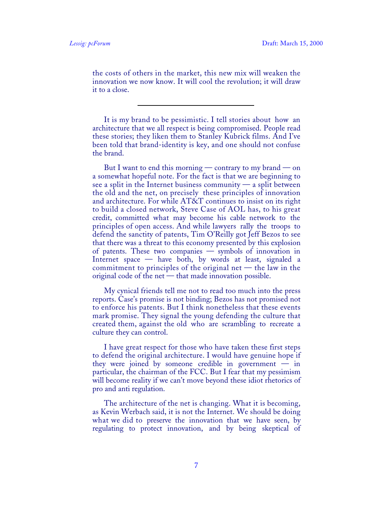the costs of others in the market, this new mix will weaken the innovation we now know. It will cool the revolution; it will draw it to a close.

It is my brand to be pessimistic. I tell stories about how an architecture that we all respect is being compromised. People read these stories; they liken them to Stanley Kubrick films. And I've been told that brand-identity is key, and one should not confuse the brand.

But I want to end this morning — contrary to my brand — on a somewhat hopeful note. For the fact is that we are beginning to see a split in the Internet business community  $\frac{d}{dx}$  a split between the old and the net, on precisely these principles of innovation and architecture. For while AT&T continues to insist on its right to build a closed network, Steve Case of AOL has, to his great credit, committed what may become his cable network to the principles of open access. And while lawyers rally the troops to defend the sanctity of patents, Tim O'Reilly got Jeff Bezos to see that there was a threat to this economy presented by this explosion of patents. These two companies — symbols of innovation in Internet space — have both, by words at least, signaled a commitment to principles of the original net  $-$  the law in the original code of the net — that made innovation possible.

My cynical friends tell me not to read too much into the press reports. Case's promise is not binding; Bezos has not promised not to enforce his patents. But I think nonetheless that these events mark promise. They signal the young defending the culture that created them, against the old who are scrambling to recreate a culture they can control.

I have great respect for those who have taken these first steps to defend the original architecture. I would have genuine hope if they were joined by someone credible in government  $-$  in particular, the chairman of the FCC. But I fear that my pessimism will become reality if we can't move beyond these idiot rhetorics of pro and anti regulation.

The architecture of the net is changing. What it is becoming, as Kevin Werbach said, it is not the Internet. We should be doing what we did to preserve the innovation that we have seen, by regulating to protect innovation, and by being skeptical of